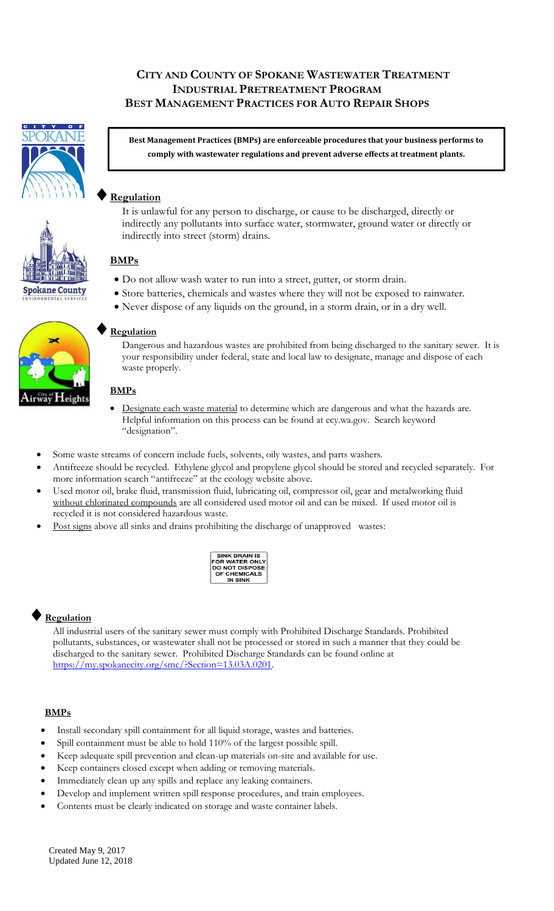## **CITY AND COUNTY OF SPOKANE WASTEWATER TREATMENT INDUSTRIAL PRETREATMENT PROGRAM BEST MANAGEMENT PRACTICES FOR AUTO REPAIR SHOPS**



**Spokane County** 

**Best Management Practices (BMPs) are enforceable procedures that your business performs to comply with wastewater regulations and prevent adverse effects at treatment plants.**

## **Regulation**

It is unlawful for any person to discharge, or cause to be discharged, directly or indirectly any pollutants into surface water, stormwater, ground water or directly or indirectly into street (storm) drains.

## **BMPs**

- Do not allow wash water to run into a street, gutter, or storm drain.
- Store batteries, chemicals and wastes where they will not be exposed to rainwater.
- Never dispose of any liquids on the ground, in a storm drain, or in a dry well.

#### **Regulation**

Dangerous and hazardous wastes are prohibited from being discharged to the sanitary sewer. It is your responsibility under federal, state and local law to designate, manage and dispose of each waste properly.

#### **BMPs**

- Designate each waste material to determine which are dangerous and what the hazards are. Helpful information on this process can be found at ecy.wa.gov. Search keyword "designation".
- Some waste streams of concern include fuels, solvents, oily wastes, and parts washers.
- Antifreeze should be recycled. Ethylene glycol and propylene glycol should be stored and recycled separately. For more information search "antifreeze" at the ecology website above.
- Used motor oil, brake fluid, transmission fluid, lubricating oil, compressor oil, gear and metalworking fluid without chlorinated compounds are all considered used motor oil and can be mixed. If used motor oil is recycled it is not considered hazardous waste.
- Post signs above all sinks and drains prohibiting the discharge of unapproved wastes:



## **Regulation**

All industrial users of the sanitary sewer must comply with Prohibited Discharge Standards. Prohibited pollutants, substances, or wastewater shall not be processed or stored in such a manner that they could be discharged to the sanitary sewer. Prohibited Discharge Standards can be found online at [https://my.spokanecity.org/smc/?Section=13.03A.0201.](https://my.spokanecity.org/smc/?Section=13.03A.0201)

#### **BMPs**

- Install secondary spill containment for all liquid storage, wastes and batteries.
- Spill containment must be able to hold 110% of the largest possible spill.
- Keep adequate spill prevention and clean-up materials on-site and available for use.
- Keep containers closed except when adding or removing materials.
- Immediately clean up any spills and replace any leaking containers.
- Develop and implement written spill response procedures, and train employees.
- Contents must be clearly indicated on storage and waste container labels.